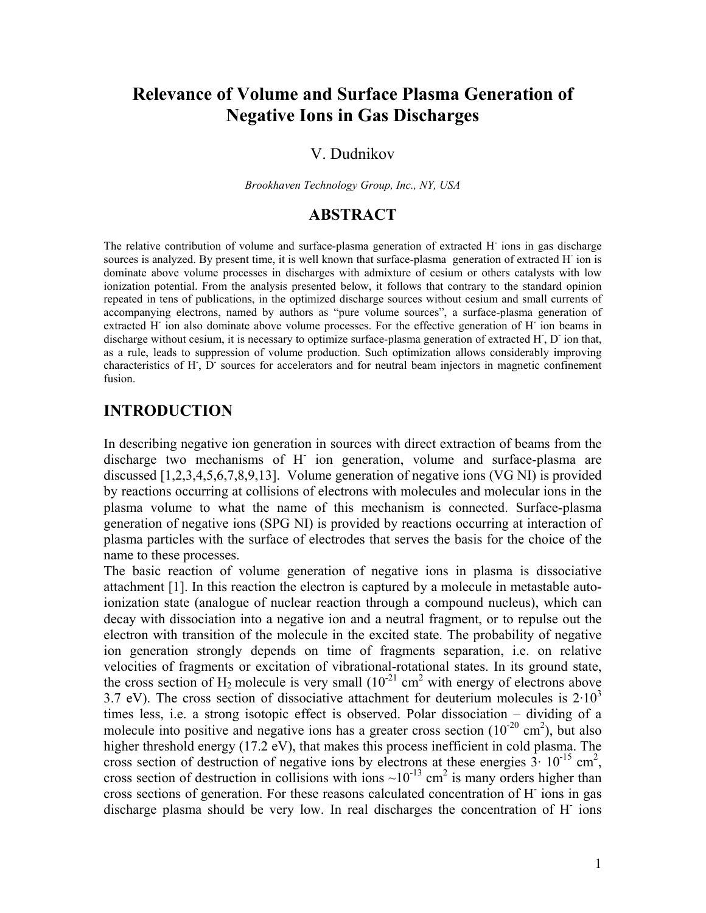# **Relevance of Volume and Surface Plasma Generation of Negative Ions in Gas Discharges**

#### V. Dudnikov

*Brookhaven Technology Group, Inc., NY, USA* 

### **ABSTRACT**

The relative contribution of volume and surface-plasma generation of extracted H<sup>-</sup> ions in gas discharge sources is analyzed. By present time, it is well known that surface-plasma generation of extracted H<sup>-</sup> ion is dominate above volume processes in discharges with admixture of cesium or others catalysts with low ionization potential. From the analysis presented below, it follows that contrary to the standard opinion repeated in tens of publications, in the optimized discharge sources without cesium and small currents of accompanying electrons, named by authors as "pure volume sources", a surface-plasma generation of extracted H<sup>-</sup> ion also dominate above volume processes. For the effective generation of H<sup>-</sup> ion beams in discharge without cesium, it is necessary to optimize surface-plasma generation of extracted H, D ion that, as a rule, leads to suppression of volume production. Such optimization allows considerably improving characteristics of H, D sources for accelerators and for neutral beam injectors in magnetic confinement fusion.

### **INTRODUCTION**

In describing negative ion generation in sources with direct extraction of beams from the discharge two mechanisms of H<sup>-</sup> ion generation, volume and surface-plasma are discussed [1,2,3,4,5,6,7,8,9,13]. Volume generation of negative ions (VG NI) is provided by reactions occurring at collisions of electrons with molecules and molecular ions in the plasma volume to what the name of this mechanism is connected. Surface-plasma generation of negative ions (SPG NI) is provided by reactions occurring at interaction of plasma particles with the surface of electrodes that serves the basis for the choice of the name to these processes.

The basic reaction of volume generation of negative ions in plasma is dissociative attachment [1]. In this reaction the electron is captured by a molecule in metastable autoionization state (analogue of nuclear reaction through a compound nucleus), which can decay with dissociation into a negative ion and a neutral fragment, or to repulse out the electron with transition of the molecule in the excited state. The probability of negative ion generation strongly depends on time of fragments separation, i.e. on relative velocities of fragments or excitation of vibrational-rotational states. In its ground state, the cross section of  $H_2$  molecule is very small  $(10^{-21} \text{ cm}^2 \text{ with energy of electrons above})$ 3.7 eV). The cross section of dissociative attachment for deuterium molecules is  $2.10<sup>3</sup>$ times less, i.e. a strong isotopic effect is observed. Polar dissociation – dividing of a molecule into positive and negative ions has a greater cross section  $(10^{-20} \text{ cm}^2)$ , but also higher threshold energy (17.2 eV), that makes this process inefficient in cold plasma. The cross section of destruction of negative ions by electrons at these energies  $3 \cdot 10^{-15}$  cm<sup>2</sup>, cross section of destruction in collisions with ions  $\sim 10^{-13}$  cm<sup>2</sup> is many orders higher than cross sections of generation. For these reasons calculated concentration of H ions in gas discharge plasma should be very low. In real discharges the concentration of H ions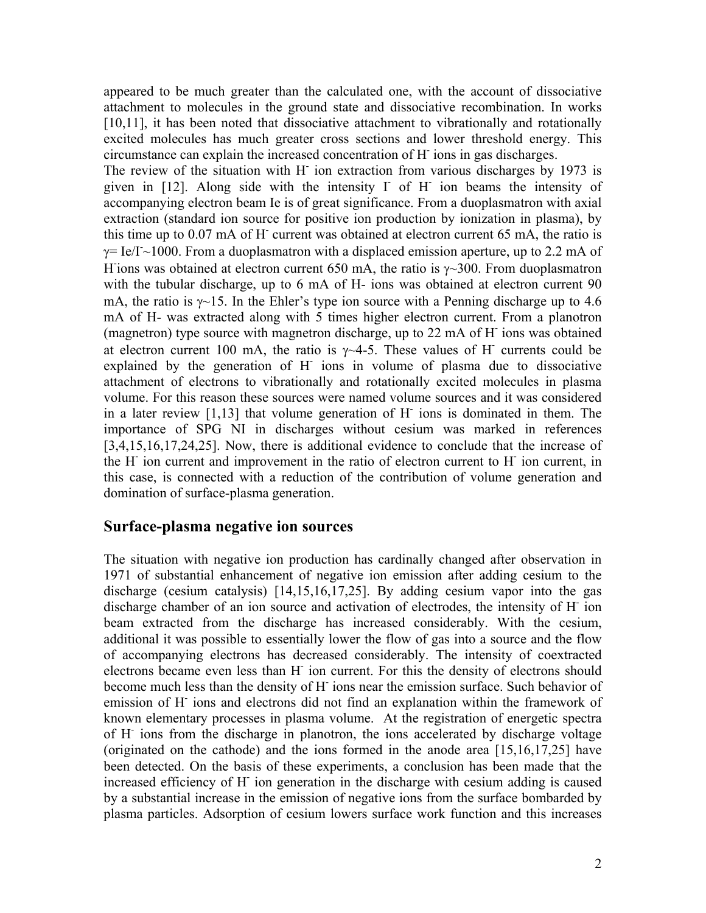appeared to be much greater than the calculated one, with the account of dissociative attachment to molecules in the ground state and dissociative recombination. In works [10,11], it has been noted that dissociative attachment to vibrationally and rotationally excited molecules has much greater cross sections and lower threshold energy. This circumstance can explain the increased concentration of Н- ions in gas discharges.

The review of the situation with H<sup>-</sup> ion extraction from various discharges by 1973 is given in [12]. Along side with the intensity I of H ion beams the intensity of accompanying electron beam Ie is of great significance. From a duoplasmatron with axial extraction (standard ion source for positive ion production by ionization in plasma), by this time up to 0.07 mA of H current was obtained at electron current 65 mA, the ratio is  $\gamma$ = Ie/I~1000. From a duoplasmatron with a displaced emission aperture, up to 2.2 mA of H ions was obtained at electron current 650 mA, the ratio is  $\gamma$ ~300. From duoplasmatron with the tubular discharge, up to 6 mA of H- ions was obtained at electron current 90 mA, the ratio is  $\gamma$ ~15. In the Ehler's type ion source with a Penning discharge up to 4.6 mA of H- was extracted along with 5 times higher electron current. From a planotron (magnetron) type source with magnetron discharge, up to 22 mA of H ions was obtained at electron current 100 mA, the ratio is  $\gamma$  4-5. These values of H currents could be explained by the generation of H ions in volume of plasma due to dissociative attachment of electrons to vibrationally and rotationally excited molecules in plasma volume. For this reason these sources were named volume sources and it was considered in a later review [1,13] that volume generation of H ions is dominated in them. The importance of SPG NI in discharges without cesium was marked in references [3,4,15,16,17,24,25]. Now, there is additional evidence to conclude that the increase of the H<sup>-</sup> ion current and improvement in the ratio of electron current to H<sup>-</sup> ion current, in this case, is connected with a reduction of the contribution of volume generation and domination of surface-plasma generation.

#### **Surface-plasma negative ion sources**

The situation with negative ion production has cardinally changed after observation in 1971 of substantial enhancement of negative ion emission after adding cesium to the discharge (cesium catalysis) [14,15,16,17,25]. By adding cesium vapor into the gas discharge chamber of an ion source and activation of electrodes, the intensity of H<sup>-</sup>ion beam extracted from the discharge has increased considerably. With the cesium, additional it was possible to essentially lower the flow of gas into a source and the flow of accompanying electrons has decreased considerably. The intensity of coextracted electrons became even less than H<sup>-</sup> ion current. For this the density of electrons should become much less than the density of H ions near the emission surface. Such behavior of emission of H<sup>-</sup> ions and electrons did not find an explanation within the framework of known elementary processes in plasma volume. At the registration of energetic spectra of H<sup>-</sup> ions from the discharge in planotron, the ions accelerated by discharge voltage (originated on the cathode) and the ions formed in the anode area [15,16,17,25] have been detected. On the basis of these experiments, a conclusion has been made that the increased efficiency of H<sup>-</sup> ion generation in the discharge with cesium adding is caused by a substantial increase in the emission of negative ions from the surface bombarded by plasma particles. Adsorption of cesium lowers surface work function and this increases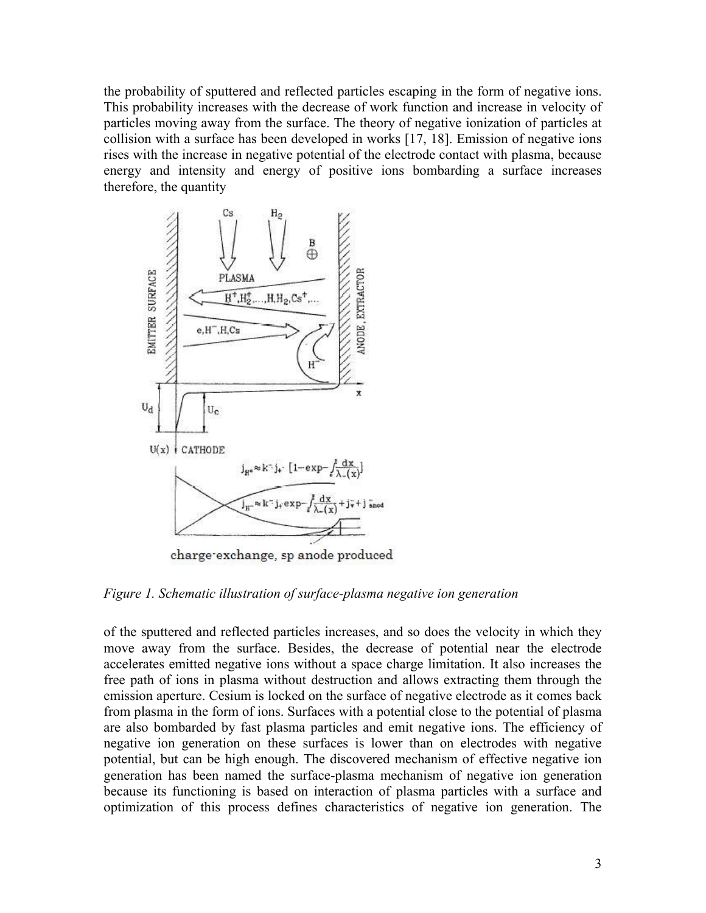the probability of sputtered and reflected particles escaping in the form of negative ions. This probability increases with the decrease of work function and increase in velocity of particles moving away from the surface. The theory of negative ionization of particles at collision with a surface has been developed in works [17, 18]. Emission of negative ions rises with the increase in negative potential of the electrode contact with plasma, because energy and intensity and energy of positive ions bombarding a surface increases therefore, the quantity

<span id="page-2-0"></span>

charge-exchange, sp anode produced

*Figure 1. Schematic illustration of surface-plasma negative ion generation* 

of the sputtered and reflected particles increases, and so does the velocity in which they move away from the surface. Besides, the decrease of potential near the electrode accelerates emitted negative ions without a space charge limitation. It also increases the free path of ions in plasma without destruction and allows extracting them through the emission aperture. Cesium is locked on the surface of negative electrode as it comes back from plasma in the form of ions. Surfaces with a potential close to the potential of plasma are also bombarded by fast plasma particles and emit negative ions. The efficiency of negative ion generation on these surfaces is lower than on electrodes with negative potential, but can be high enough. The discovered mechanism of effective negative ion generation has been named the surface-plasma mechanism of negative ion generation because its functioning is based on interaction of plasma particles with a surface and optimization of this process defines characteristics of negative ion generation. The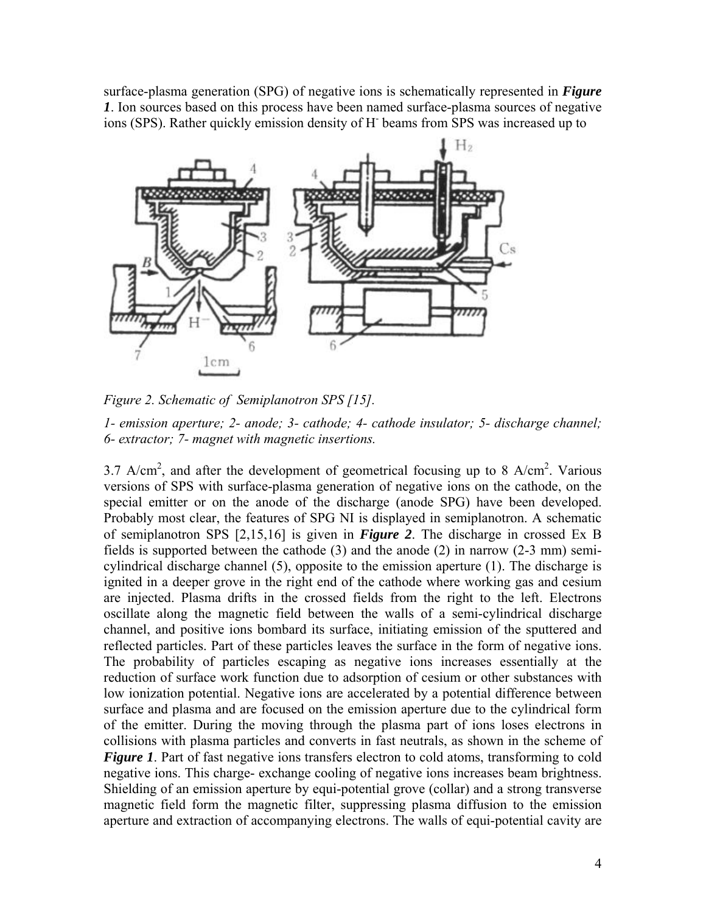surface-plasma generation (SPG) of negative ions is schematically represented in *[Figure](#page-2-0)  [1](#page-2-0)*. Ion sources based on this process have been named surface-plasma sources of negative ions (SPS). Rather quickly emission density of Н- beams from SPS was increased up to

<span id="page-3-0"></span>

*Figure 2. Schematic of Semiplanotron SPS [15].* 

*1- emission aperture; 2- anode; 3- cathode; 4- cathode insulator; 5- discharge channel; 6- extractor; 7- magnet with magnetic insertions.* 

3.7 A/cm<sup>2</sup>, and after the development of geometrical focusing up to 8 A/cm<sup>2</sup>. Various versions of SPS with surface-plasma generation of negative ions on the cathode, on the special emitter or on the anode of the discharge (anode SPG) have been developed. Probably most clear, the features of SPG NI is displayed in semiplanotron. A schematic of semiplanotron SPS [2,15,16] is given in *[Figure 2](#page-3-0)*. The discharge in crossed Еx В fields is supported between the cathode (3) and the anode (2) in narrow (2-3 mm) semicylindrical discharge channel (5), opposite to the emission aperture (1). The discharge is ignited in a deeper grove in the right end of the cathode where working gas and cesium are injected. Plasma drifts in the crossed fields from the right to the left. Electrons oscillate along the magnetic field between the walls of a semi-cylindrical discharge channel, and positive ions bombard its surface, initiating emission of the sputtered and reflected particles. Part of these particles leaves the surface in the form of negative ions. The probability of particles escaping as negative ions increases essentially at the reduction of surface work function due to adsorption of cesium or other substances with low ionization potential. Negative ions are accelerated by a potential difference between surface and plasma and are focused on the emission aperture due to the cylindrical form of the emitter. During the moving through the plasma part of ions loses electrons in collisions with plasma particles and converts in fast neutrals, as shown in the scheme of *[Figure 1](#page-2-0)*. Part of fast negative ions transfers electron to cold atoms, transforming to cold negative ions. This charge- exchange cooling of negative ions increases beam brightness. Shielding of an emission aperture by equi-potential grove (collar) and a strong transverse magnetic field form the magnetic filter, suppressing plasma diffusion to the emission aperture and extraction of accompanying electrons. The walls of equi-potential cavity are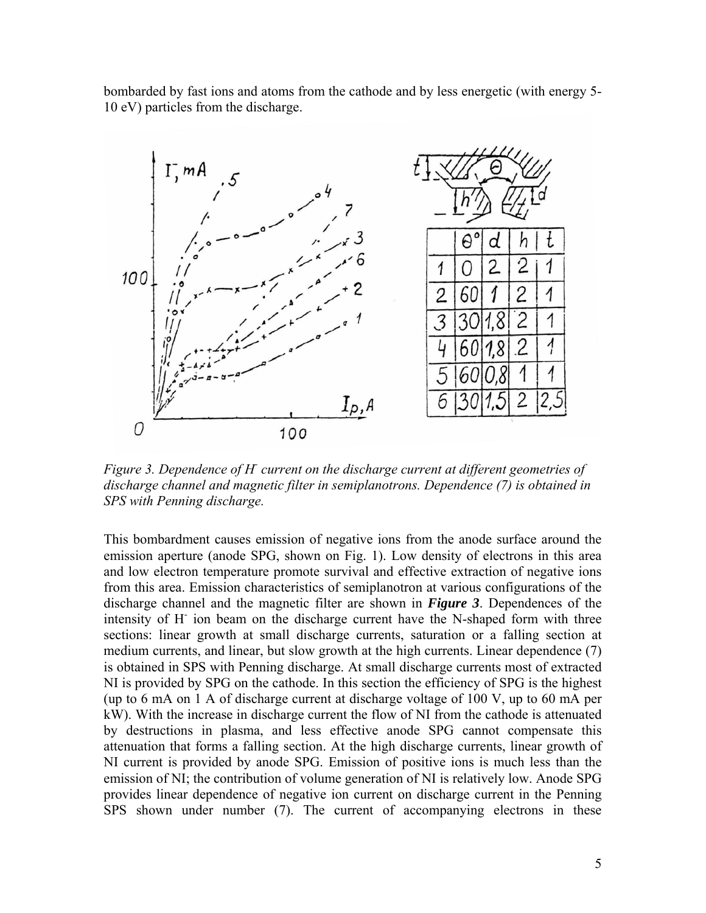bombarded by fast ions and atoms from the cathode and by less energetic (with energy 5- 10 eV) particles from the discharge.

<span id="page-4-0"></span>

*Figure 3. Dependence of H current on the discharge current at different geometries of discharge channel and magnetic filter in semiplanotrons. Dependence (7) is obtained in SPS with Penning discharge.* 

This bombardment causes emission of negative ions from the anode surface around the emission aperture (anode SPG, shown on Fig. 1). Low density of electrons in this area and low electron temperature promote survival and effective extraction of negative ions from this area. Emission characteristics of semiplanotron at various configurations of the discharge channel and the magnetic filter are shown in *[Figure 3](#page-4-0)*. Dependences of the intensity of H<sup>-</sup> ion beam on the discharge current have the N-shaped form with three sections: linear growth at small discharge currents, saturation or a falling section at medium currents, and linear, but slow growth at the high currents. Linear dependence (7) is obtained in SPS with Penning discharge. At small discharge currents most of extracted NI is provided by SPG on the cathode. In this section the efficiency of SPG is the highest (up to 6 mА on 1 A of discharge current at discharge voltage of 100 V, up to 60 mА per kW). With the increase in discharge current the flow of NI from the cathode is attenuated by destructions in plasma, and less effective anode SPG cannot compensate this attenuation that forms a falling section. At the high discharge currents, linear growth of NI current is provided by anode SPG. Emission of positive ions is much less than the emission of NI; the contribution of volume generation of NI is relatively low. Anode SPG provides linear dependence of negative ion current on discharge current in the Penning SPS shown under number (7). The current of accompanying electrons in these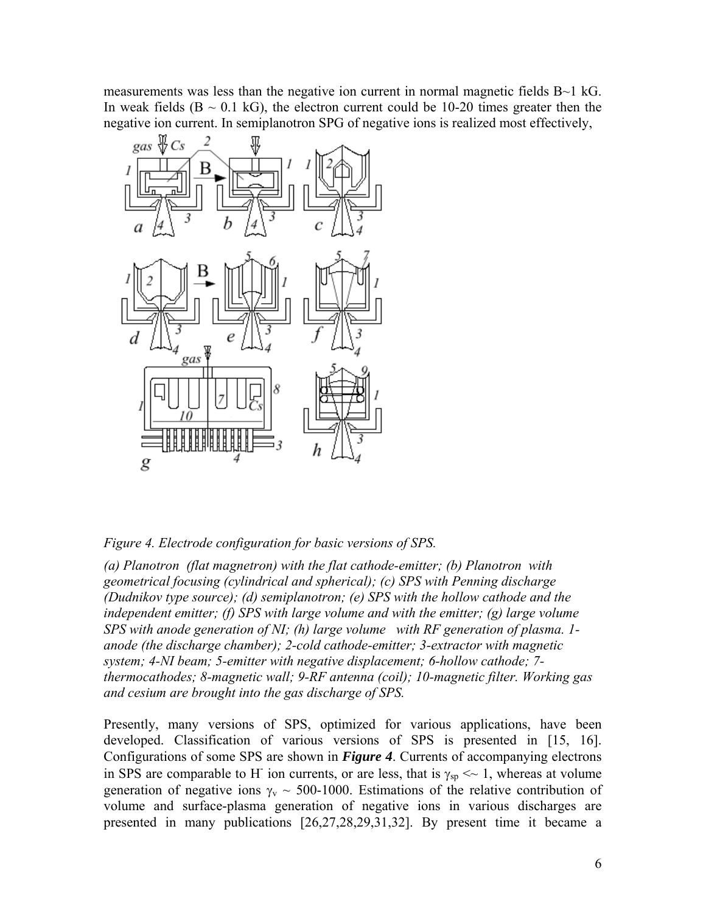measurements was less than the negative ion current in normal magnetic fields  $B\sim1$  kG. In weak fields  $(B \sim 0.1 \text{ kG})$ , the electron current could be 10-20 times greater then the negative ion current. In semiplanotron SPG of negative ions is realized most effectively,

<span id="page-5-0"></span>

*Figure 4. Electrode configuration for basic versions of SPS.* 

*(a) Planotron (flat magnetron) with the flat cathode-emitter; (b) Planotron with geometrical focusing (cylindrical and spherical); (c) SPS with Penning discharge (Dudnikov type source); (d) semiplanotron; (e) SPS with the hollow cathode and the independent emitter; (f) SPS with large volume and with the emitter; (g) large volume SPS with anode generation of NI; (h) large volume with RF generation of plasma. 1 anode (the discharge chamber); 2-cold cathode-emitter; 3-extractor with magnetic system; 4-NI beam; 5-emitter with negative displacement; 6-hollow cathode; 7 thermocathodes; 8-magnetic wall; 9-RF antenna (coil); 10-magnetic filter. Working gas and cesium are brought into the gas discharge of SPS.* 

Presently, many versions of SPS, optimized for various applications, have been developed. Classification of various versions of SPS is presented in [15, 16]. Configurations of some SPS are shown in *[Figure 4](#page-5-0)*. Currents of accompanying electrons in SPS are comparable to H<sup>-</sup> ion currents, or are less, that is  $\gamma_{sp} \ll 1$ , whereas at volume generation of negative ions  $\gamma_{v} \sim 500$ -1000. Estimations of the relative contribution of volume and surface-plasma generation of negative ions in various discharges are presented in many publications [26,27,28,29,31,32]. By present time it became a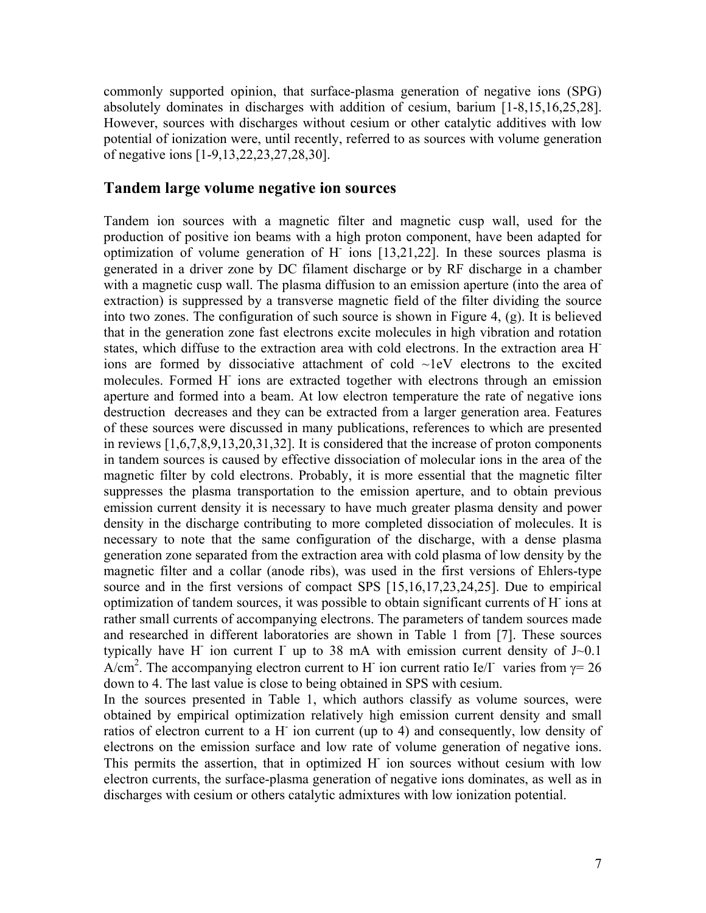commonly supported opinion, that surface-plasma generation of negative ions (SPG) absolutely dominates in discharges with addition of cesium, barium [1-8,15,16,25,28]. However, sources with discharges without cesium or other catalytic additives with low potential of ionization were, until recently, referred to as sources with volume generation of negative ions [1-9,13,22,23,27,28,30].

#### **Tandem large volume negative ion sources**

Tandem ion sources with a magnetic filter and magnetic cusp wall, used for the production of positive ion beams with a high proton component, have been adapted for optimization of volume generation of H ions [13,21,22]. In these sources plasma is generated in a driver zone by DC filament discharge or by RF discharge in a chamber with a magnetic cusp wall. The plasma diffusion to an emission aperture (into the area of extraction) is suppressed by a transverse magnetic field of the filter dividing the source into two zones. The configuration of such source is shown in Figure 4, (g). It is believed that in the generation zone fast electrons excite molecules in high vibration and rotation states, which diffuse to the extraction area with cold electrons. In the extraction area Нions are formed by dissociative attachment of cold ~1eV electrons to the excited molecules. Formed H<sup>-</sup> ions are extracted together with electrons through an emission aperture and formed into a beam. At low electron temperature the rate of negative ions destruction decreases and they can be extracted from a larger generation area. Features of these sources were discussed in many publications, references to which are presented in reviews [1,6,7,8,9,13,20,31,32]. It is considered that the increase of proton components in tandem sources is caused by effective dissociation of molecular ions in the area of the magnetic filter by cold electrons. Probably, it is more essential that the magnetic filter suppresses the plasma transportation to the emission aperture, and to obtain previous emission current density it is necessary to have much greater plasma density and power density in the discharge contributing to more completed dissociation of molecules. It is necessary to note that the same configuration of the discharge, with a dense plasma generation zone separated from the extraction area with cold plasma of low density by the magnetic filter and a collar (anode ribs), was used in the first versions of Ehlers-type source and in the first versions of compact SPS [15,16,17,23,24,25]. Due to empirical optimization of tandem sources, it was possible to obtain significant currents of Н- ions at rather small currents of accompanying electrons. The parameters of tandem sources made and researched in different laboratories are shown in Table 1 from [7]. These sources typically have H ion current I up to 38 mA with emission current density of  $J\sim 0.1$ A/cm<sup>2</sup>. The accompanying electron current to H<sup>-</sup> ion current ratio Ie/I<sup>-</sup> varies from  $\gamma = 26$ down to 4. The last value is close to being obtained in SPS with cesium.

In the sources presented in Table 1, which authors classify as volume sources, were obtained by empirical optimization relatively high emission current density and small ratios of electron current to a H<sup>-</sup> ion current (up to 4) and consequently, low density of electrons on the emission surface and low rate of volume generation of negative ions. This permits the assertion, that in optimized H ion sources without cesium with low electron currents, the surface-plasma generation of negative ions dominates, as well as in discharges with cesium or others catalytic admixtures with low ionization potential.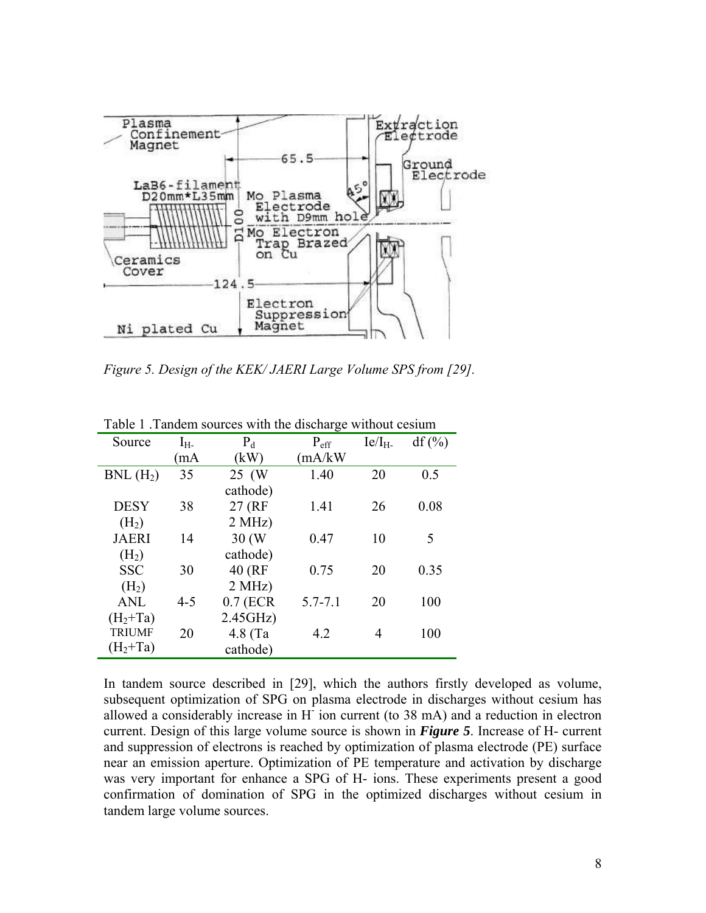<span id="page-7-0"></span>![](_page_7_Figure_0.jpeg)

*Figure 5. Design of the KEK/ JAERI Large Volume SPS from [29].* 

| Source               | $I_{H^-}$ | $P_d$      | $P_{\text{eff}}$ | Ie/I <sub>H</sub> | $df$ (%) |
|----------------------|-----------|------------|------------------|-------------------|----------|
|                      | mA)       | (kW)       | (mA/kW)          |                   |          |
| BNL(H <sub>2</sub> ) | 35        | 25 (W      | 1.40             | 20                | 0.5      |
|                      |           | cathode)   |                  |                   |          |
| <b>DESY</b>          | 38        | 27 (RF     | 1.41             | 26                | 0.08     |
| (H <sub>2</sub> )    |           | 2 MHz)     |                  |                   |          |
| <b>JAERI</b>         | 14        | 30(W)      | 0.47             | 10                | 5        |
| (H <sub>2</sub> )    |           | cathode)   |                  |                   |          |
| <b>SSC</b>           | 30        | 40 (RF     | 0.75             | 20                | 0.35     |
| (H <sub>2</sub> )    |           | 2 MHz)     |                  |                   |          |
| <b>ANL</b>           | $4 - 5$   | $0.7$ (ECR | $5.7 - 7.1$      | 20                | 100      |
| $(H2+Ta)$            |           | 2.45GHz    |                  |                   |          |
| <b>TRIUMF</b>        | 20        | $4.8$ (Ta  | 4.2              | 4                 | 100      |
| $(H2+Ta)$            |           | cathode)   |                  |                   |          |

Table 1 .Tandem sources with the discharge without cesium

In tandem source described in [29], which the authors firstly developed as volume, subsequent optimization of SPG on plasma electrode in discharges without cesium has allowed a considerably increase in H<sup>-</sup> ion current (to 38 mA) and a reduction in electron current. Design of this large volume source is shown in *[Figure 5](#page-7-0)*. Increase of H- current and suppression of electrons is reached by optimization of plasma electrode (PE) surface near an emission aperture. Optimization of PE temperature and activation by discharge was very important for enhance a SPG of H- ions. These experiments present a good confirmation of domination of SPG in the optimized discharges without cesium in tandem large volume sources.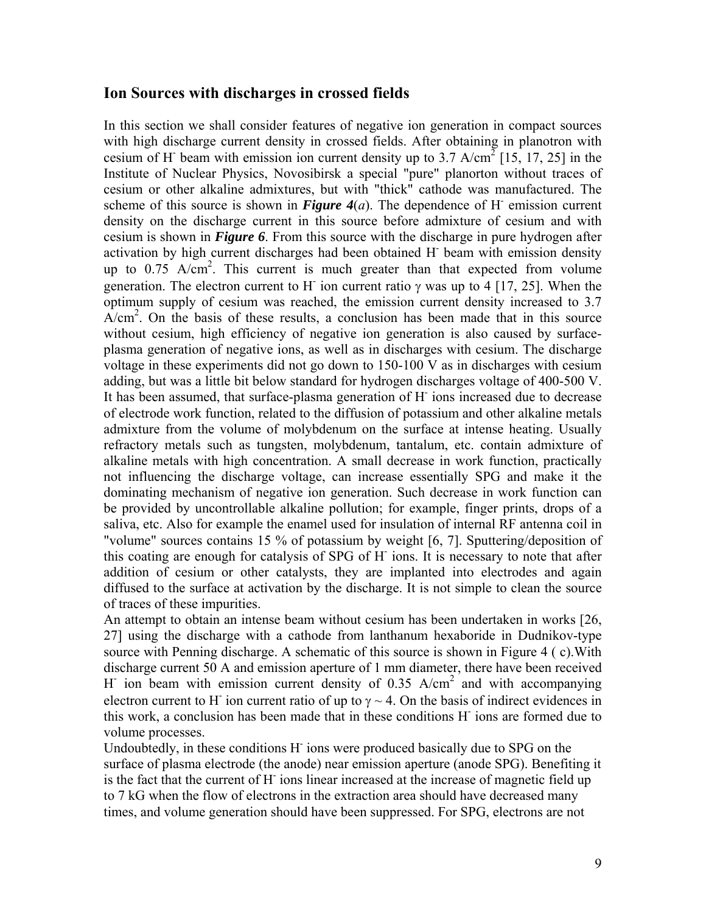#### **Ion Sources with discharges in crossed fields**

In this section we shall consider features of negative ion generation in compact sources with high discharge current density in crossed fields. After obtaining in planotron with cesium of H<sup>-</sup> beam with emission ion current density up to 3.7 A/cm<sup>2</sup> [15, 17, 25] in the Institute of Nuclear Physics, Novosibirsk a special "pure" planorton without traces of cesium or other alkaline admixtures, but with "thick" cathode was manufactured. The scheme of this source is shown in **[Figure 4](#page-5-0)**(*a*). The dependence of H emission current density on the discharge current in this source before admixture of cesium and with cesium is shown in *[Figure 6](#page-9-0)*. From this source with the discharge in pure hydrogen after activation by high current discharges had been obtained H beam with emission density up to  $0.75$  A/cm<sup>2</sup>. This current is much greater than that expected from volume generation. The electron current to H<sup>-</sup> ion current ratio  $\gamma$  was up to 4 [17, 25]. When the optimum supply of cesium was reached, the emission current density increased to 3.7 A/cm<sup>2</sup>. On the basis of these results, a conclusion has been made that in this source without cesium, high efficiency of negative ion generation is also caused by surfaceplasma generation of negative ions, as well as in discharges with cesium. The discharge voltage in these experiments did not go down to 150-100 V as in discharges with cesium adding, but was a little bit below standard for hydrogen discharges voltage of 400-500 V. It has been assumed, that surface-plasma generation of H<sup>-</sup> ions increased due to decrease of electrode work function, related to the diffusion of potassium and other alkaline metals admixture from the volume of molybdenum on the surface at intense heating. Usually refractory metals such as tungsten, molybdenum, tantalum, etc. contain admixture of alkaline metals with high concentration. A small decrease in work function, practically not influencing the discharge voltage, can increase essentially SPG and make it the dominating mechanism of negative ion generation. Such decrease in work function can be provided by uncontrollable alkaline pollution; for example, finger prints, drops of a saliva, etc. Also for example the enamel used for insulation of internal RF antenna coil in "volume" sources contains 15 % of potassium by weight [6, 7]. Sputtering/deposition of this coating are enough for catalysis of SPG of H ions. It is necessary to note that after addition of cesium or other catalysts, they are implanted into electrodes and again diffused to the surface at activation by the discharge. It is not simple to clean the source of traces of these impurities.

An attempt to obtain an intense beam without cesium has been undertaken in works [26, 27] using the discharge with a cathode from lanthanum hexaboride in Dudnikov-type source with Penning discharge. A schematic of this source is shown in Figure 4 ( c).With discharge current 50 A and emission aperture of 1 mm diameter, there have been received H ion beam with emission current density of 0.35  $A/cm^2$  and with accompanying electron current to H<sup>-</sup> ion current ratio of up to  $\gamma \sim 4$ . On the basis of indirect evidences in this work, a conclusion has been made that in these conditions H ions are formed due to volume processes.

Undoubtedly, in these conditions H ions were produced basically due to SPG on the surface of plasma electrode (the anode) near emission aperture (anode SPG). Benefiting it is the fact that the current of H<sup>-</sup> ions linear increased at the increase of magnetic field up to 7 kG when the flow of electrons in the extraction area should have decreased many times, and volume generation should have been suppressed. For SPG, electrons are not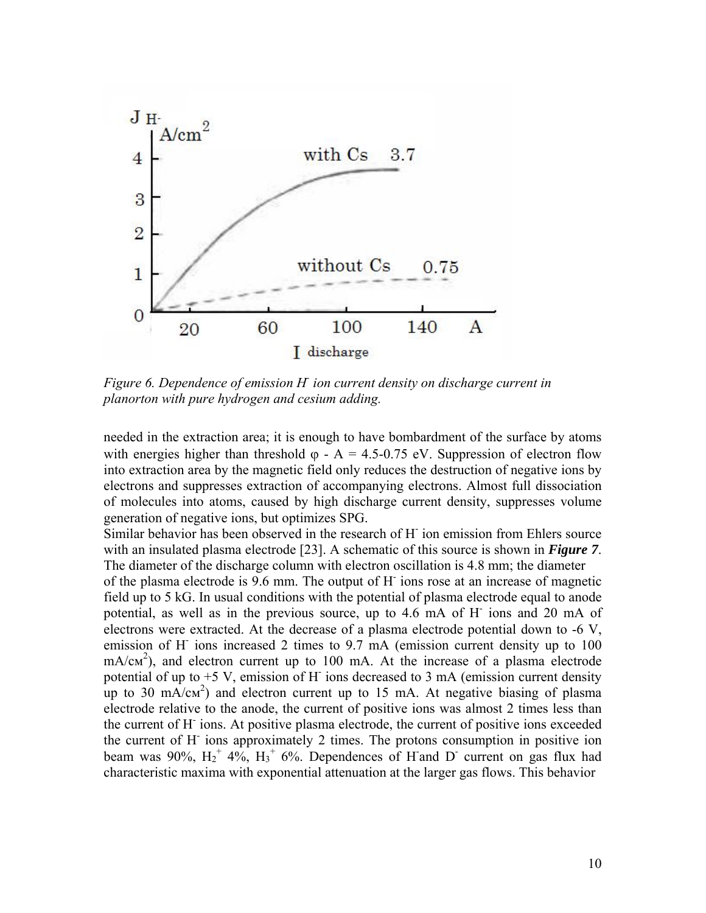<span id="page-9-0"></span>![](_page_9_Figure_0.jpeg)

*Figure 6. Dependence of emission Н- ion current density on discharge current in planorton with pure hydrogen and cesium adding.* 

needed in the extraction area; it is enough to have bombardment of the surface by atoms with energies higher than threshold  $\varphi$  - A = 4.5-0.75 eV. Suppression of electron flow into extraction area by the magnetic field only reduces the destruction of negative ions by electrons and suppresses extraction of accompanying electrons. Almost full dissociation of molecules into atoms, caused by high discharge current density, suppresses volume generation of negative ions, but optimizes SPG.

Similar behavior has been observed in the research of H<sup>-</sup> ion emission from Ehlers source with an insulated plasma electrode [23]. A schematic of this source is shown in *[Figure 7](#page-10-0)*. The diameter of the discharge column with electron oscillation is 4.8 mm; the diameter

of the plasma electrode is 9.6 mm. The output of Н- ions rose at an increase of magnetic field up to 5 kG. In usual conditions with the potential of plasma electrode equal to anode potential, as well as in the previous source, up to 4.6 mA of H<sup>-</sup> ions and 20 mA of electrons were extracted. At the decrease of a plasma electrode potential down to -6 V, emission of H<sup>-</sup> ions increased 2 times to 9.7 mA (emission current density up to 100 mA/cm<sup>2</sup>), and electron current up to 100 mA. At the increase of a plasma electrode potential of up to  $+5$  V, emission of H<sup>-</sup> ions decreased to 3 mA (emission current density up to 30 mA/ $\text{cm}^2$ ) and electron current up to 15 mA. At negative biasing of plasma electrode relative to the anode, the current of positive ions was almost 2 times less than the current of H<sup>-</sup> ions. At positive plasma electrode, the current of positive ions exceeded the current of H<sup>-</sup> ions approximately 2 times. The protons consumption in positive ion beam was 90%,  $H_2^+$  4%,  $H_3^+$  6%. Dependences of H and D current on gas flux had characteristic maxima with exponential attenuation at the larger gas flows. This behavior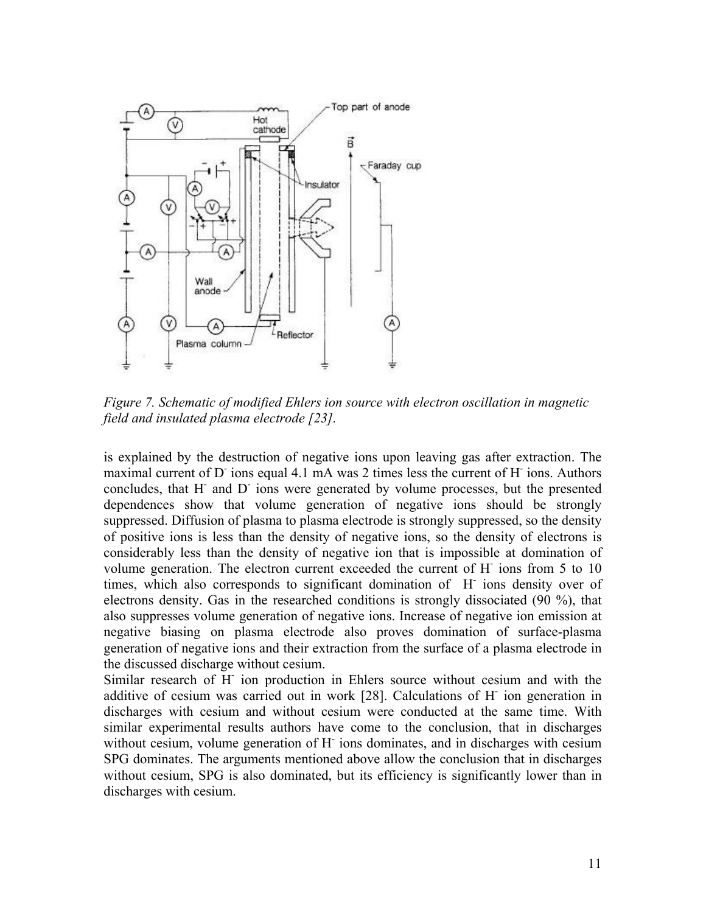<span id="page-10-0"></span>![](_page_10_Figure_0.jpeg)

*Figure 7. Schematic of modified Ehlers ion source with electron oscillation in magnetic field and insulated plasma electrode [23].* 

is explained by the destruction of negative ions upon leaving gas after extraction. The maximal current of D ions equal 4.1 mA was 2 times less the current of H ions. Authors concludes, that H<sup>-</sup> and D<sup>-</sup> ions were generated by volume processes, but the presented dependences show that volume generation of negative ions should be strongly suppressed. Diffusion of plasma to plasma electrode is strongly suppressed, so the density of positive ions is less than the density of negative ions, so the density of electrons is considerably less than the density of negative ion that is impossible at domination of volume generation. The electron current exceeded the current of H<sup>-</sup> ions from 5 to 10 times, which also corresponds to significant domination of H<sup>-</sup> ions density over of electrons density. Gas in the researched conditions is strongly dissociated (90 %), that also suppresses volume generation of negative ions. Increase of negative ion emission at negative biasing on plasma electrode also proves domination of surface-plasma generation of negative ions and their extraction from the surface of a plasma electrode in the discussed discharge without cesium.

Similar research of H<sup>-</sup> ion production in Ehlers source without cesium and with the additive of cesium was carried out in work [28]. Calculations of H<sup>-</sup> ion generation in discharges with cesium and without cesium were conducted at the same time. With similar experimental results authors have come to the conclusion, that in discharges without cesium, volume generation of H<sup>-</sup> ions dominates, and in discharges with cesium SPG dominates. The arguments mentioned above allow the conclusion that in discharges without cesium, SPG is also dominated, but its efficiency is significantly lower than in discharges with cesium.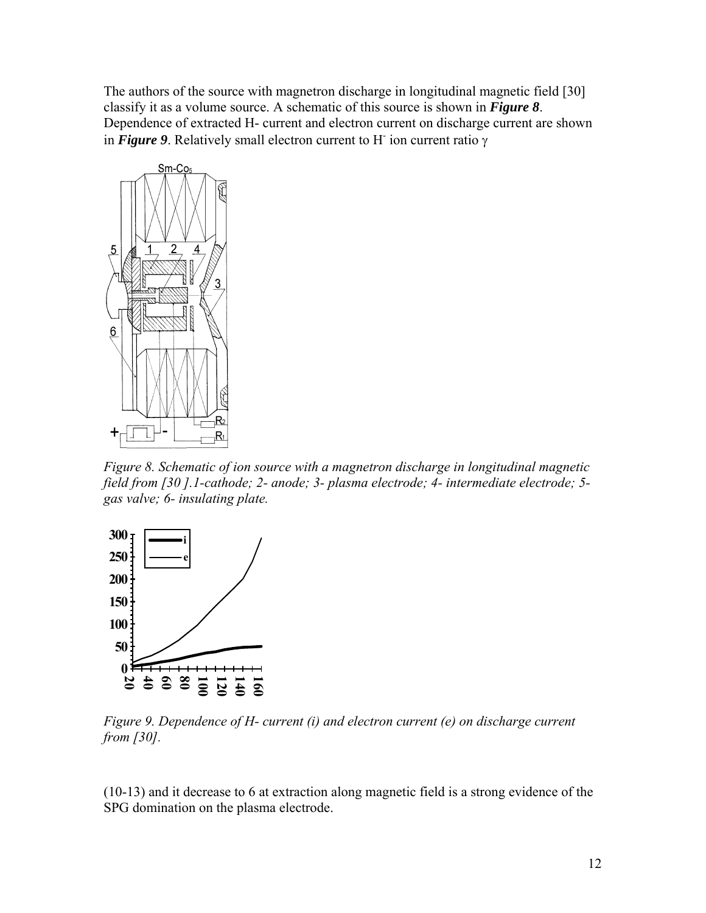The authors of the source with magnetron discharge in longitudinal magnetic field [30] classify it as a volume source. A schematic of this source is shown in *[Figure 8](#page-11-0)*. Dependence of extracted H- current and electron current on discharge current are shown in *[Figure 9](#page-11-1)*. Relatively small electron current to Н- ion current ratio γ

<span id="page-11-0"></span>![](_page_11_Figure_1.jpeg)

*Figure 8. Schematic of ion source with a magnetron discharge in longitudinal magnetic field from [30 ].1-cathode; 2- anode; 3- plasma electrode; 4- intermediate electrode; 5 gas valve; 6- insulating plate.* 

<span id="page-11-1"></span>![](_page_11_Figure_3.jpeg)

*Figure 9. Dependence of H- current (i) and electron current (e) on discharge current from [30].* 

(10-13) and it decrease to 6 at extraction along magnetic field is a strong evidence of the SPG domination on the plasma electrode.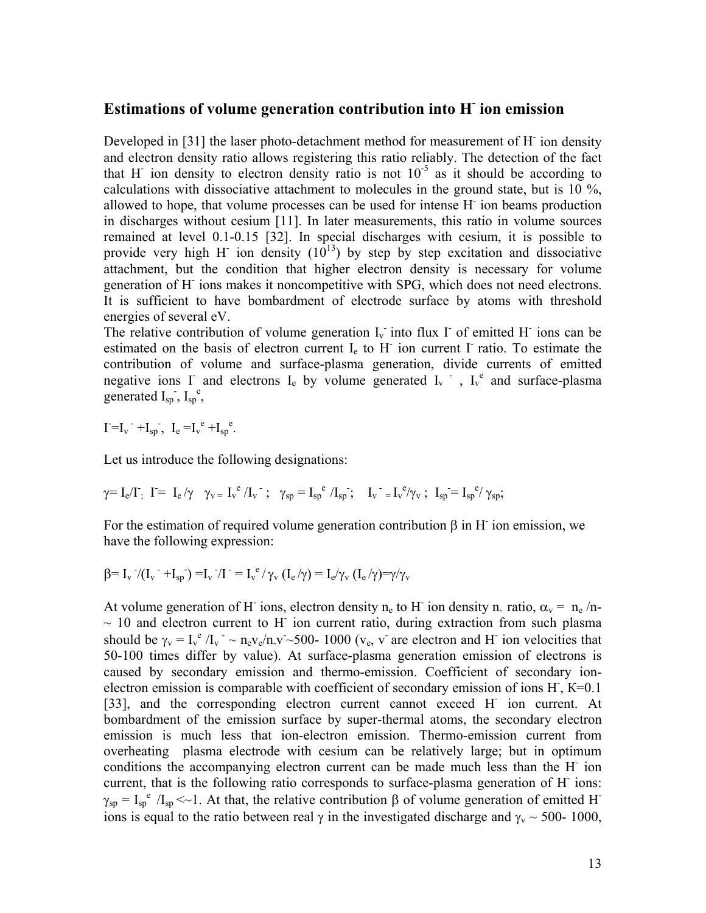## **Estimations of volume generation contribution into Н- ion emission**

Developed in [31] the laser photo-detachment method for measurement of H<sup>-</sup> ion density and electron density ratio allows registering this ratio reliably. The detection of the fact that H ion density to electron density ratio is not  $10^{-5}$  as it should be according to calculations with dissociative attachment to molecules in the ground state, but is  $10\%$ , allowed to hope, that volume processes can be used for intense H<sup>-</sup> ion beams production in discharges without cesium [11]. In later measurements, this ratio in volume sources remained at level 0.1-0.15 [32]. In special discharges with cesium, it is possible to provide very high H ion density  $(10^{13})$  by step by step excitation and dissociative attachment, but the condition that higher electron density is necessary for volume generation of H<sup>-</sup> ions makes it noncompetitive with SPG, which does not need electrons. It is sufficient to have bombardment of electrode surface by atoms with threshold energies of several eV.

The relative contribution of volume generation  $I_v$  into flux  $\Gamma$  of emitted H ions can be estimated on the basis of electron current  $I<sub>e</sub>$  to H<sup>-</sup> ion current I<sup>-</sup> ratio. To estimate the contribution of volume and surface-plasma generation, divide currents of emitted negative ions  $\Gamma$  and electrons  $I_e$  by volume generated  $I_v$ ,  $I_v^e$  and surface-plasma generated  $I_{sp}$ ,  $I_{sp}^e$ ,

 $I = I_v + I_{sp}$ ,  $I_e = I_v^e + I_{sp}^e$ .

Let us introduce the following designations:

$$
\gamma\!\!\!\!-I_e/I\,,\ I\!\!\!=I_e/\gamma\quad\gamma_v\!\!\!=I_v^e/I_v\,\,\textrm{ ;}\ \ \gamma_{sp}\!\!\!=\!I_{sp}^e/I_{sp}\,;\quad \ I_v^{\phantom{e}}\!\!\!=\!I_v^e/\gamma_v\,\,;\ \ I_{sp}\!\!\!=\!I_{sp}^e/\gamma_{sp};
$$

For the estimation of required volume generation contribution  $\beta$  in H ion emission, we have the following expression:

$$
\beta\!\!=I_v^{\phantom{v}^{\phantom{v}}}\!/(I_v^{\phantom{v}^{\phantom{v}}}\!+\!I_{sp}^{\phantom{v}})\!=\!I_v^{\phantom{v}^{\phantom{v}}}\!/I_{\phantom{v}}^{\phantom{v}}=I_v^{\phantom{v}e}\!/ \gamma_v^{\phantom{v}}(I_e^{\phantom{v}}\!/ \gamma)=I_e^{\phantom{v}}\!/ \gamma_v^{\phantom{v}}(I_e^{\phantom{v}}\!/ \gamma)\!\!=\!\gamma\!/ \gamma_v
$$

At volume generation of H<sup>-</sup> ions, electron density n<sub>e</sub> to H<sup>-</sup> ion density n<sub>-</sub> ratio,  $\alpha_v = n_e/n$ - $\sim$  10 and electron current to H<sup>-</sup> ion current ratio, during extraction from such plasma should be  $\gamma_v = I_v^e/I_v \sim n_e v_e / n_v \sim 500$ - 1000 ( $v_e$ , v are electron and H ion velocities that 50-100 times differ by value). At surface-plasma generation emission of electrons is caused by secondary emission and thermo-emission. Coefficient of secondary ionelectron emission is comparable with coefficient of secondary emission of ions  $H$ ,  $K=0.1$ [33], and the corresponding electron current cannot exceed H ion current. At bombardment of the emission surface by super-thermal atoms, the secondary electron emission is much less that ion-electron emission. Thermo-emission current from overheating plasma electrode with cesium can be relatively large; but in optimum conditions the accompanying electron current can be made much less than the H<sup>-</sup> ion current, that is the following ratio corresponds to surface-plasma generation of H<sup>-</sup> ions:  $\gamma_{sp} = I_{sp}^{\text{e}} / I_{sp} \ll 1$ . At that, the relative contribution  $\beta$  of volume generation of emitted H<sup>-</sup> ions is equal to the ratio between real  $\gamma$  in the investigated discharge and  $\gamma_v \sim 500$ - 1000,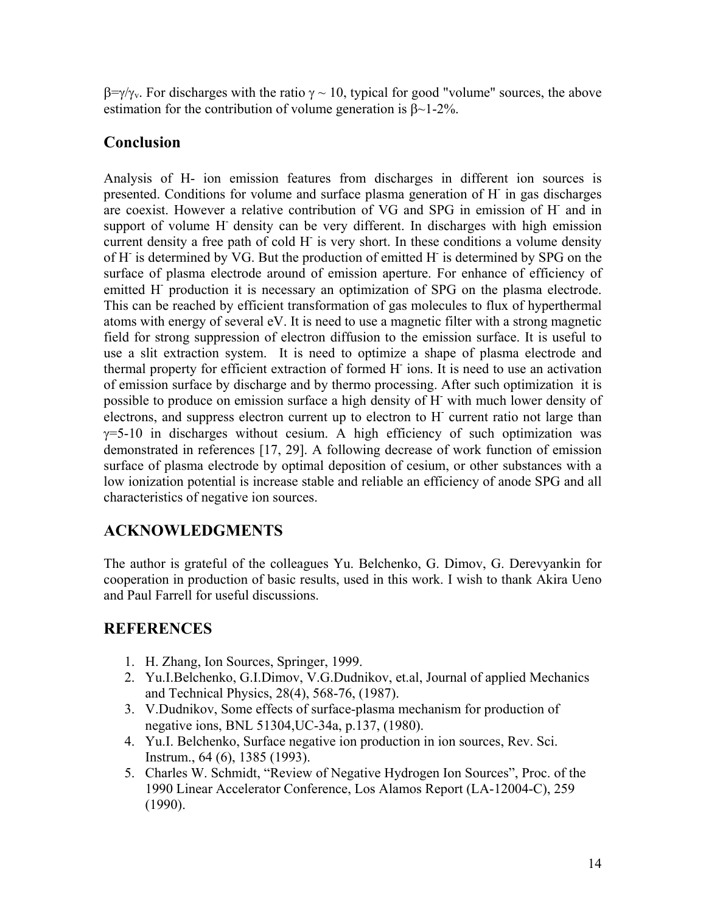$\beta = \gamma/\gamma_v$ . For discharges with the ratio γ ~ 10, typical for good "volume" sources, the above estimation for the contribution of volume generation is β~1-2%.

## **Conclusion**

Analysis of H- ion emission features from discharges in different ion sources is presented. Conditions for volume and surface plasma generation of H- in gas discharges are coexist. However a relative contribution of VG and SPG in emission of H- and in support of volume H- density can be very different. In discharges with high emission current density a free path of cold H<sup>-</sup> is very short. In these conditions a volume density of H is determined by VG. But the production of emitted H is determined by SPG on the surface of plasma electrode around of emission aperture. For enhance of efficiency of emitted H<sup>-</sup> production it is necessary an optimization of SPG on the plasma electrode. This can be reached by efficient transformation of gas molecules to flux of hyperthermal atoms with energy of several eV. It is need to use a magnetic filter with a strong magnetic field for strong suppression of electron diffusion to the emission surface. It is useful to use a slit extraction system. It is need to optimize a shape of plasma electrode and thermal property for efficient extraction of formed H- ions. It is need to use an activation of emission surface by discharge and by thermo processing. After such optimization it is possible to produce on emission surface a high density of H with much lower density of electrons, and suppress electron current up to electron to H<sup>-</sup> current ratio not large than  $\gamma$ =5-10 in discharges without cesium. A high efficiency of such optimization was demonstrated in references [17, 29]. A following decrease of work function of emission surface of plasma electrode by optimal deposition of cesium, or other substances with a low ionization potential is increase stable and reliable an efficiency of anode SPG and all characteristics of negative ion sources.

# **ACKNOWLEDGMENTS**

The author is grateful of the colleagues Yu. Belchenko, G. Dimov, G. Derevyankin for cooperation in production of basic results, used in this work. I wish to thank Akira Ueno and Paul Farrell for useful discussions.

## **REFERENCES**

- 1. H. Zhang, Ion Sources, Springer, 1999.
- 2. Yu.I.Belchenko, G.I.Dimov, V.G.Dudnikov, et.al, Journal of applied Mechanics and Technical Physics, 28(4), 568-76, (1987).
- 3. V.Dudnikov, Some effects of surface-plasma mechanism for production of negative ions, BNL 51304,UC-34a, p.137, (1980).
- 4. Yu.I. Belchenko, Surface negative ion production in ion sources, Rev. Sci. Instrum., 64 (6), 1385 (1993).
- 5. Charles W. Schmidt, "Review of Negative Hydrogen Ion Sources", Proc. of the 1990 Linear Accelerator Conference, Los Alamos Report (LA-12004-C), 259 (1990).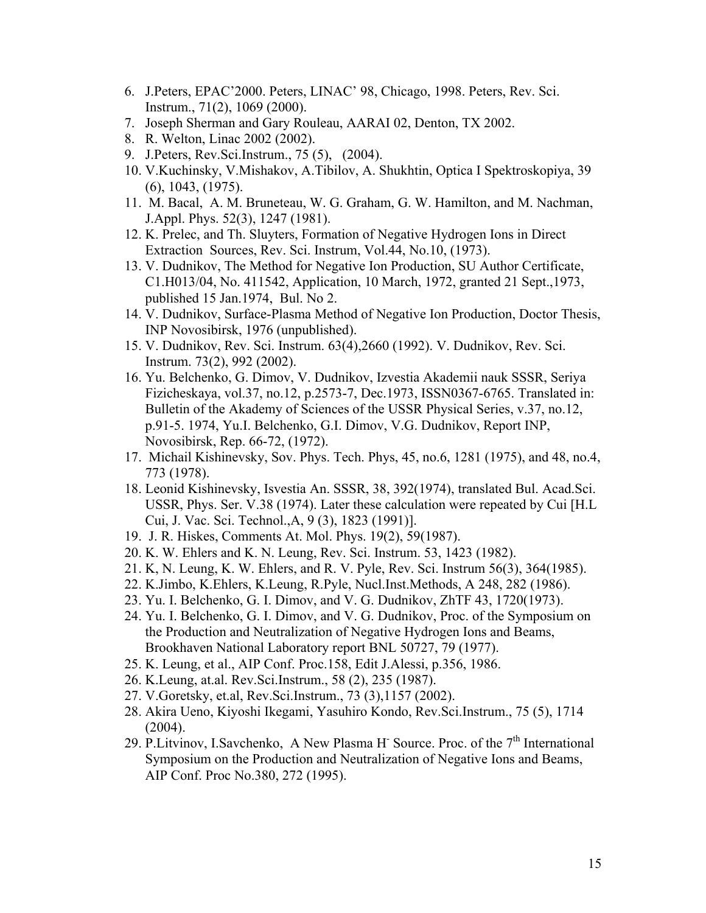- 6. J.Peters, EPAC'2000. Peters, LINAC' 98, Chicago, 1998. Peters, Rev. Sci. Instrum., 71(2), 1069 (2000).
- 7. Joseph Sherman and Gary Rouleau, AARAI 02, Denton, TX 2002.
- 8. R. Welton, Linac 2002 (2002).
- 9. J.Peters, Rev.Sci.Instrum., 75 (5), (2004).
- 10. V.Kuchinsky, V.Mishakov, A.Tibilоv, A. Shukhtin, Optica I Spektroskopiya, 39 (6), 1043, (1975).
- 11. M. Bacal, A. M. Bruneteau, W. G. Graham, G. W. Hamilton, and M. Nachman, J.Appl. Phys. 52(3), 1247 (1981).
- 12. K. Prelec, and Th. Sluyters, Formation of Negative Hydrogen Ions in Direct Extraction Sources, Rev. Sci. Instrum, Vol.44, No.10, (1973).
- 13. V. Dudnikov, The Method for Negative Ion Production, SU Author Certificate, C1.H013/04, No. 411542, Application, 10 March, 1972, granted 21 Sept.,1973, published 15 Jan.1974, Bul. No 2.
- 14. V. Dudnikov, Surface-Plasma Method of Negative Ion Production, Doctor Thesis, INP Novosibirsk, 1976 (unpublished).
- 15. V. Dudnikov, Rev. Sci. Instrum. 63(4),2660 (1992). V. Dudnikov, Rev. Sci. Instrum. 73(2), 992 (2002).
- 16. Yu. Belchenko, G. Dimov, V. Dudnikov, Izvestia Akademii nauk SSSR, Seriya Fizicheskaya, vol.37, no.12, p.2573-7, Dec.1973, ISSN0367-6765. Translated in: Bulletin of the Akademy of Sciences of the USSR Physical Series, v.37, no.12, p.91-5. 1974, Yu.I. Belchenko, G.I. Dimov, V.G. Dudnikov, Report INP, Novosibirsk, Rep. 66-72, (1972).
- 17. Michail Kishinevsky, Sov. Phys. Tech. Phys, 45, no.6, 1281 (1975), and 48, no.4, 773 (1978).
- 18. Leonid Kishinevsky, Isvestia An. SSSR, 38, 392(1974), translated Bul. Acad.Sci. USSR, Phys. Ser. V.38 (1974). Later these calculation were repeated by Cui [H.L Cui, J. Vac. Sci. Technol.,A, 9 (3), 1823 (1991)].
- 19. J. R. Hiskes, Comments At. Mol. Phys. 19(2), 59(1987).
- 20. K. W. Ehlers and K. N. Leung, Rev. Sci. Instrum. 53, 1423 (1982).
- 21. K, N. Leung, K. W. Ehlers, and R. V. Pyle, Rev. Sci. Instrum 56(3), 364(1985).
- 22. K.Jimbo, K.Ehlers, K.Leung, R.Pyle, Nucl.Inst.Methods, A 248, 282 (1986).
- 23. Yu. I. Belchenko, G. I. Dimov, and V. G. Dudnikov, ZhTF 43, 1720(1973).
- 24. Yu. I. Belchenko, G. I. Dimov, and V. G. Dudnikov, Proc. of the Symposium on the Production and Neutralization of Negative Hydrogen Ions and Beams, Brookhaven National Laboratory report BNL 50727, 79 (1977).
- 25. K. Leung, et al., AIP Conf. Proc.158, Edit J.Alessi, p.356, 1986.
- 26. K.Leung, at.al. Rev.Sci.Instrum., 58 (2), 235 (1987).
- 27. V.Goretsky, et.al, Rev.Sci.Instrum., 73 (3),1157 (2002).
- 28. Akira Ueno, Kiyoshi Ikegami, Yasuhiro Kondo, Rev.Sci.Instrum., 75 (5), 1714 (2004).
- 29. P.Litvinov, I.Savchenko, A New Plasma H<sup>-</sup> Source. Proc. of the  $7<sup>th</sup>$  International Symposium on the Production and Neutralization of Negative Ions and Beams, AIP Conf. Proc No.380, 272 (1995).